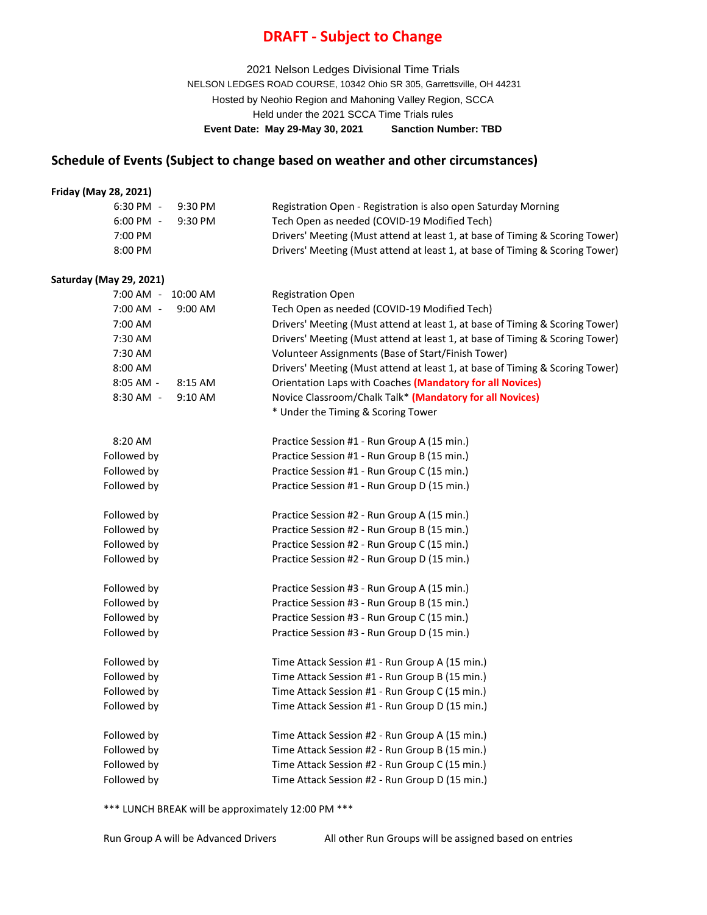## **DRAFT - Subject to Change**

2021 Nelson Ledges Divisional Time Trials NELSON LEDGES ROAD COURSE, 10342 Ohio SR 305, Garrettsville, OH 44231 Hosted by Neohio Region and Mahoning Valley Region, SCCA Held under the 2021 SCCA Time Trials rules **Event Date: May 29-May 30, 2021 Sanction Number: TBD**

## **Schedule of Events (Subject to change based on weather and other circumstances)**

#### **Friday (May 28, 2021)**

| . <i>.</i>                     |                                                                              |
|--------------------------------|------------------------------------------------------------------------------|
| 6:30 PM -<br>$9:30 \text{ PM}$ | Registration Open - Registration is also open Saturday Morning               |
| 6:00 PM -<br>$9:30 \text{ PM}$ | Tech Open as needed (COVID-19 Modified Tech)                                 |
| 7:00 PM                        | Drivers' Meeting (Must attend at least 1, at base of Timing & Scoring Tower) |
| 8:00 PM                        | Drivers' Meeting (Must attend at least 1, at base of Timing & Scoring Tower) |
|                                |                                                                              |

#### **Saturday (May 29, 2021)**

| $7:00$ AM $-$<br>10:00 AM | <b>Registration Open</b>                                                     |
|---------------------------|------------------------------------------------------------------------------|
| $7:00$ AM $-$<br>9:00 AM  | Tech Open as needed (COVID-19 Modified Tech)                                 |
| 7:00 AM                   | Drivers' Meeting (Must attend at least 1, at base of Timing & Scoring Tower) |
| 7:30 AM                   | Drivers' Meeting (Must attend at least 1, at base of Timing & Scoring Tower) |
| 7:30 AM                   | Volunteer Assignments (Base of Start/Finish Tower)                           |
| 8:00 AM                   | Drivers' Meeting (Must attend at least 1, at base of Timing & Scoring Tower) |
| 8:05 AM -<br>8:15 AM      | Orientation Laps with Coaches (Mandatory for all Novices)                    |
| 8:30 AM -<br>9:10 AM      | Novice Classroom/Chalk Talk* (Mandatory for all Novices)                     |
|                           | * Under the Timing & Scoring Tower                                           |
| 8:20 AM                   | Practice Session #1 - Run Group A (15 min.)                                  |
| Followed by               | Practice Session #1 - Run Group B (15 min.)                                  |
| Followed by               | Practice Session #1 - Run Group C (15 min.)                                  |
| Followed by               | Practice Session #1 - Run Group D (15 min.)                                  |
| Followed by               | Practice Session #2 - Run Group A (15 min.)                                  |
| Followed by               | Practice Session #2 - Run Group B (15 min.)                                  |
| Followed by               | Practice Session #2 - Run Group C (15 min.)                                  |
| Followed by               | Practice Session #2 - Run Group D (15 min.)                                  |
| Followed by               | Practice Session #3 - Run Group A (15 min.)                                  |
| Followed by               | Practice Session #3 - Run Group B (15 min.)                                  |
| Followed by               | Practice Session #3 - Run Group C (15 min.)                                  |
| Followed by               | Practice Session #3 - Run Group D (15 min.)                                  |
| Followed by               | Time Attack Session #1 - Run Group A (15 min.)                               |
| Followed by               | Time Attack Session #1 - Run Group B (15 min.)                               |
| Followed by               | Time Attack Session #1 - Run Group C (15 min.)                               |
| Followed by               | Time Attack Session #1 - Run Group D (15 min.)                               |
| Followed by               | Time Attack Session #2 - Run Group A (15 min.)                               |
| Followed by               | Time Attack Session #2 - Run Group B (15 min.)                               |
| Followed by               | Time Attack Session #2 - Run Group C (15 min.)                               |
| Followed by               | Time Attack Session #2 - Run Group D (15 min.)                               |
|                           |                                                                              |

\*\*\* LUNCH BREAK will be approximately 12:00 PM \*\*\*